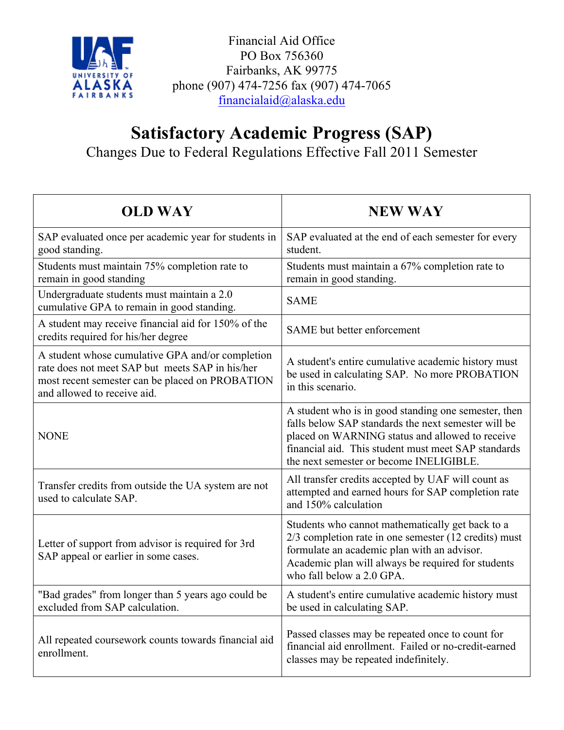

Financial Aid Office PO Box 756360 Fairbanks, AK 99775 phone (907) 474-7256 fax (907) 474-7065 financialaid@alaska.edu

# **Satisfactory Academic Progress (SAP)** Changes Due to Federal Regulations Effective Fall 2011 Semester

| <b>OLD WAY</b>                                                                                                                                                                        | <b>NEW WAY</b>                                                                                                                                                                                                                                                   |
|---------------------------------------------------------------------------------------------------------------------------------------------------------------------------------------|------------------------------------------------------------------------------------------------------------------------------------------------------------------------------------------------------------------------------------------------------------------|
| SAP evaluated once per academic year for students in<br>good standing.                                                                                                                | SAP evaluated at the end of each semester for every<br>student.                                                                                                                                                                                                  |
| Students must maintain 75% completion rate to<br>remain in good standing                                                                                                              | Students must maintain a 67% completion rate to<br>remain in good standing.                                                                                                                                                                                      |
| Undergraduate students must maintain a 2.0<br>cumulative GPA to remain in good standing.                                                                                              | <b>SAME</b>                                                                                                                                                                                                                                                      |
| A student may receive financial aid for 150% of the<br>credits required for his/her degree                                                                                            | SAME but better enforcement                                                                                                                                                                                                                                      |
| A student whose cumulative GPA and/or completion<br>rate does not meet SAP but meets SAP in his/her<br>most recent semester can be placed on PROBATION<br>and allowed to receive aid. | A student's entire cumulative academic history must<br>be used in calculating SAP. No more PROBATION<br>in this scenario.                                                                                                                                        |
| <b>NONE</b>                                                                                                                                                                           | A student who is in good standing one semester, then<br>falls below SAP standards the next semester will be<br>placed on WARNING status and allowed to receive<br>financial aid. This student must meet SAP standards<br>the next semester or become INELIGIBLE. |
| Transfer credits from outside the UA system are not<br>used to calculate SAP.                                                                                                         | All transfer credits accepted by UAF will count as<br>attempted and earned hours for SAP completion rate<br>and 150% calculation                                                                                                                                 |
| Letter of support from advisor is required for 3rd<br>SAP appeal or earlier in some cases.                                                                                            | Students who cannot mathematically get back to a<br>2/3 completion rate in one semester (12 credits) must<br>formulate an academic plan with an advisor.<br>Academic plan will always be required for students<br>who fall below a 2.0 GPA.                      |
| "Bad grades" from longer than 5 years ago could be<br>excluded from SAP calculation.                                                                                                  | A student's entire cumulative academic history must<br>be used in calculating SAP.                                                                                                                                                                               |
| All repeated coursework counts towards financial aid<br>enrollment.                                                                                                                   | Passed classes may be repeated once to count for<br>financial aid enrollment. Failed or no-credit-earned<br>classes may be repeated indefinitely.                                                                                                                |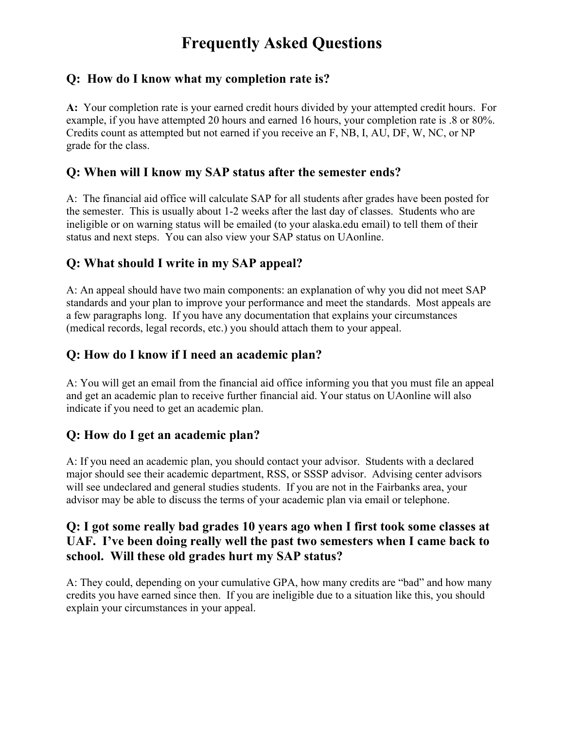# **Frequently Asked Questions**

### **Q: How do I know what my completion rate is?**

**A:** Your completion rate is your earned credit hours divided by your attempted credit hours. For example, if you have attempted 20 hours and earned 16 hours, your completion rate is .8 or 80%. Credits count as attempted but not earned if you receive an F, NB, I, AU, DF, W, NC, or NP grade for the class.

#### **Q: When will I know my SAP status after the semester ends?**

A: The financial aid office will calculate SAP for all students after grades have been posted for the semester. This is usually about 1-2 weeks after the last day of classes. Students who are ineligible or on warning status will be emailed (to your alaska.edu email) to tell them of their status and next steps. You can also view your SAP status on UAonline.

#### **Q: What should I write in my SAP appeal?**

A: An appeal should have two main components: an explanation of why you did not meet SAP standards and your plan to improve your performance and meet the standards. Most appeals are a few paragraphs long. If you have any documentation that explains your circumstances (medical records, legal records, etc.) you should attach them to your appeal.

#### **Q: How do I know if I need an academic plan?**

A: You will get an email from the financial aid office informing you that you must file an appeal and get an academic plan to receive further financial aid. Your status on UAonline will also indicate if you need to get an academic plan.

#### **Q: How do I get an academic plan?**

A: If you need an academic plan, you should contact your advisor. Students with a declared major should see their academic department, RSS, or SSSP advisor. Advising center advisors will see undeclared and general studies students. If you are not in the Fairbanks area, your advisor may be able to discuss the terms of your academic plan via email or telephone.

### **Q: I got some really bad grades 10 years ago when I first took some classes at UAF. I've been doing really well the past two semesters when I came back to school. Will these old grades hurt my SAP status?**

A: They could, depending on your cumulative GPA, how many credits are "bad" and how many credits you have earned since then. If you are ineligible due to a situation like this, you should explain your circumstances in your appeal.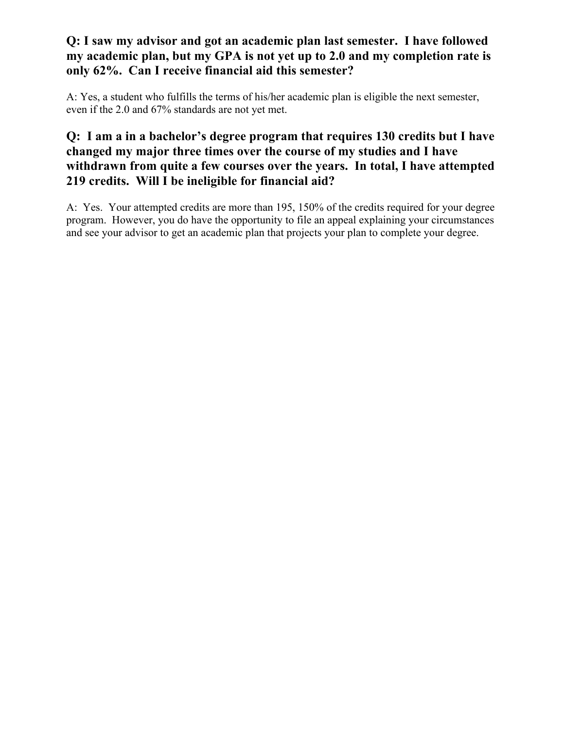## **Q: I saw my advisor and got an academic plan last semester. I have followed my academic plan, but my GPA is not yet up to 2.0 and my completion rate is only 62%. Can I receive financial aid this semester?**

A: Yes, a student who fulfills the terms of his/her academic plan is eligible the next semester, even if the 2.0 and 67% standards are not yet met.

# **Q: I am a in a bachelor's degree program that requires 130 credits but I have changed my major three times over the course of my studies and I have withdrawn from quite a few courses over the years. In total, I have attempted 219 credits. Will I be ineligible for financial aid?**

A: Yes. Your attempted credits are more than 195, 150% of the credits required for your degree program. However, you do have the opportunity to file an appeal explaining your circumstances and see your advisor to get an academic plan that projects your plan to complete your degree.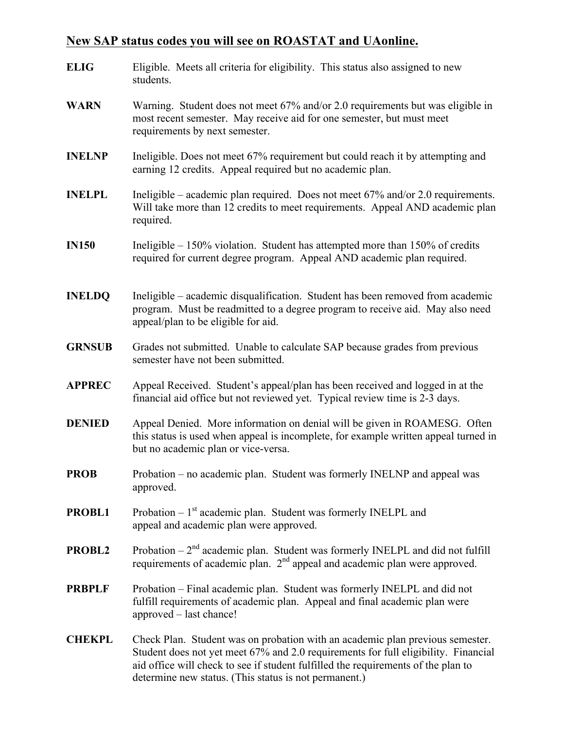#### **New SAP status codes you will see on ROASTAT and UAonline.**

**ELIG** Eligible. Meets all criteria for eligibility. This status also assigned to new students. **WARN** Warning. Student does not meet 67% and/or 2.0 requirements but was eligible in most recent semester. May receive aid for one semester, but must meet requirements by next semester. **INELNP** Ineligible. Does not meet 67% requirement but could reach it by attempting and earning 12 credits. Appeal required but no academic plan. **INELPL** Ineligible – academic plan required. Does not meet 67% and/or 2.0 requirements. Will take more than 12 credits to meet requirements. Appeal AND academic plan required. **IN150** Ineligible – 150% violation. Student has attempted more than 150% of credits required for current degree program. Appeal AND academic plan required. **INELDQ** Ineligible – academic disqualification. Student has been removed from academic program. Must be readmitted to a degree program to receive aid. May also need appeal/plan to be eligible for aid. **GRNSUB** Grades not submitted. Unable to calculate SAP because grades from previous semester have not been submitted. **APPREC** Appeal Received. Student's appeal/plan has been received and logged in at the financial aid office but not reviewed yet. Typical review time is 2-3 days. **DENIED** Appeal Denied. More information on denial will be given in ROAMESG. Often this status is used when appeal is incomplete, for example written appeal turned in but no academic plan or vice-versa. **PROB** Probation – no academic plan. Student was formerly INELNP and appeal was approved. **PROBL1** Probation –  $1<sup>st</sup>$  academic plan. Student was formerly INELPL and appeal and academic plan were approved. **PROBL2** Probation –  $2<sup>nd</sup>$  academic plan. Student was formerly INELPL and did not fulfill requirements of academic plan. 2<sup>nd</sup> appeal and academic plan were approved. **PRBPLF** Probation – Final academic plan. Student was formerly INELPL and did not fulfill requirements of academic plan. Appeal and final academic plan were approved – last chance! **CHEKPL** Check Plan. Student was on probation with an academic plan previous semester. Student does not yet meet 67% and 2.0 requirements for full eligibility. Financial aid office will check to see if student fulfilled the requirements of the plan to

determine new status. (This status is not permanent.)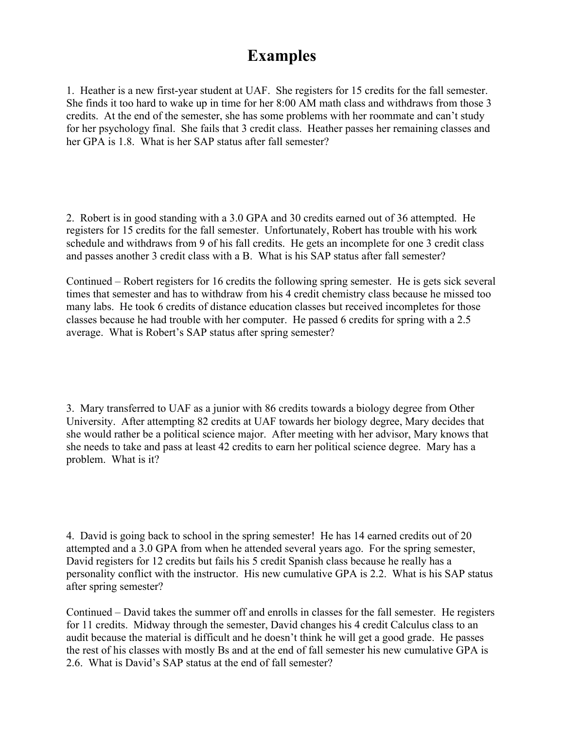# **Examples**

1. Heather is a new first-year student at UAF. She registers for 15 credits for the fall semester. She finds it too hard to wake up in time for her 8:00 AM math class and withdraws from those 3 credits. At the end of the semester, she has some problems with her roommate and can't study for her psychology final. She fails that 3 credit class. Heather passes her remaining classes and her GPA is 1.8. What is her SAP status after fall semester?

2. Robert is in good standing with a 3.0 GPA and 30 credits earned out of 36 attempted. He registers for 15 credits for the fall semester. Unfortunately, Robert has trouble with his work schedule and withdraws from 9 of his fall credits. He gets an incomplete for one 3 credit class and passes another 3 credit class with a B. What is his SAP status after fall semester?

Continued – Robert registers for 16 credits the following spring semester. He is gets sick several times that semester and has to withdraw from his 4 credit chemistry class because he missed too many labs. He took 6 credits of distance education classes but received incompletes for those classes because he had trouble with her computer. He passed 6 credits for spring with a 2.5 average. What is Robert's SAP status after spring semester?

3. Mary transferred to UAF as a junior with 86 credits towards a biology degree from Other University. After attempting 82 credits at UAF towards her biology degree, Mary decides that she would rather be a political science major. After meeting with her advisor, Mary knows that she needs to take and pass at least 42 credits to earn her political science degree. Mary has a problem. What is it?

4. David is going back to school in the spring semester! He has 14 earned credits out of 20 attempted and a 3.0 GPA from when he attended several years ago. For the spring semester, David registers for 12 credits but fails his 5 credit Spanish class because he really has a personality conflict with the instructor. His new cumulative GPA is 2.2. What is his SAP status after spring semester?

Continued – David takes the summer off and enrolls in classes for the fall semester. He registers for 11 credits. Midway through the semester, David changes his 4 credit Calculus class to an audit because the material is difficult and he doesn't think he will get a good grade. He passes the rest of his classes with mostly Bs and at the end of fall semester his new cumulative GPA is 2.6. What is David's SAP status at the end of fall semester?